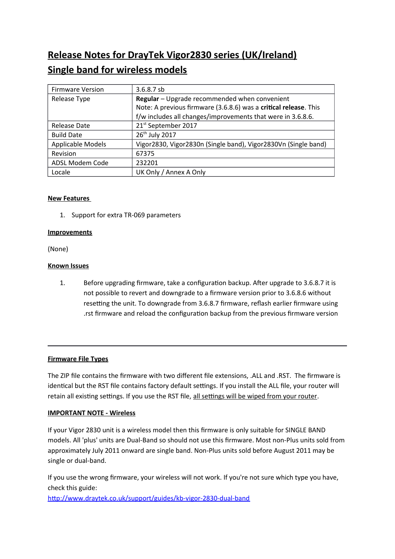# **Release Notes for DrayTek Vigor2830 series (UK/Ireland) Single band for wireless models**

| <b>Firmware Version</b> | $3.6.8.7$ sb                                                     |
|-------------------------|------------------------------------------------------------------|
| Release Type            | Regular - Upgrade recommended when convenient                    |
|                         | Note: A previous firmware (3.6.8.6) was a critical release. This |
|                         | f/w includes all changes/improvements that were in 3.6.8.6.      |
| Release Date            | 21st September 2017                                              |
| <b>Build Date</b>       | 26 <sup>th</sup> July 2017                                       |
| Applicable Models       | Vigor2830, Vigor2830n (Single band), Vigor2830Vn (Single band)   |
| Revision                | 67375                                                            |
| ADSL Modem Code         | 232201                                                           |
| Locale                  | UK Only / Annex A Only                                           |

# **New Features**

1. Support for extra TR-069 parameters

## **Improvements**

(None)

# **Known Issues**

1. Before upgrading firmware, take a configuration backup. After upgrade to 3.6.8.7 it is not possible to revert and downgrade to a frmware version prior to 3.6.8.6 without resetting the unit. To downgrade from 3.6.8.7 frmware, relash earlier frmware using .rst firmware and reload the configuration backup from the previous firmware version

## **Firmware File Types**

The ZIP fle contains the frmware with two diferent fle extensions, .ALL and .RST. The frmware is identical but the RST file contains factory default settings. If you install the ALL file, your router will retain all existing settings. If you use the RST file, all settings will be wiped from your router.

## **IMPORTANT NOTE - Wireless**

If your Vigor 2830 unit is a wireless model then this frmware is only suitable for SINGLE BAND models. All 'plus' units are Dual-Band so should not use this frmware. Most non-Plus units sold from approximately July 2011 onward are single band. Non-Plus units sold before August 2011 may be single or dual-band.

If you use the wrong frmware, your wireless will not work. If you're not sure which type you have, check this guide:

<http://www.draytek.co.uk/support/guides/kb-vigor-2830-dual-band>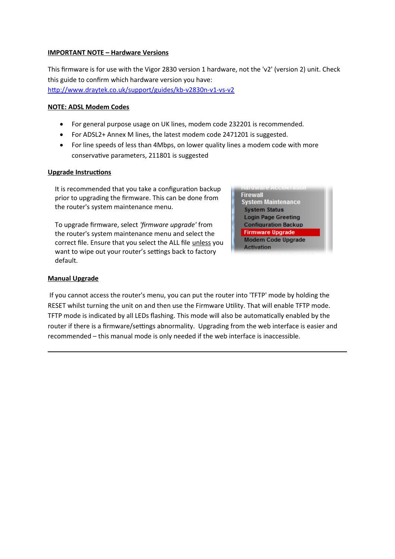#### **IMPORTANT NOTE – Hardware Versions**

This frmware is for use with the Vigor 2830 version 1 hardware, not the 'v2' (version 2) unit. Check this guide to confrm which hardware version you have: <http://www.draytek.co.uk/support/guides/kb-v2830n-v1-vs-v2>

## **NOTE: ADSL Modem Codes**

- For general purpose usage on UK lines, modem code 232201 is recommended.
- For ADSL2+ Annex M lines, the latest modem code 2471201 is suggested.
- For line speeds of less than 4Mbps, on lower quality lines a modem code with more conservative parameters, 211801 is suggested

#### **Upgrade Instructions**

It is recommended that you take a configuration backup prior to upgrading the frmware. This can be done from the router's system maintenance menu.

To upgrade firmware, select 'firmware upgrade' from the router's system maintenance menu and select the correct fle. Ensure that you select the ALL fle unless you want to wipe out your router's settings back to factory default.

**Firewall System Maintenance System Status Login Page Greeting Configuration Backup Firmware Upgrade** Modem Code Upgrade **Activation** 

## **Manual Upgrade**

 If you cannot access the router's menu, you can put the router into 'TFTP' mode by holding the RESET whilst turning the unit on and then use the Firmware Utility. That will enable TFTP mode. TFTP mode is indicated by all LEDs flashing. This mode will also be automatically enabled by the router if there is a frmware/settings abnormality. Upgrading from the web interface is easier and recommended – this manual mode is only needed if the web interface is inaccessible.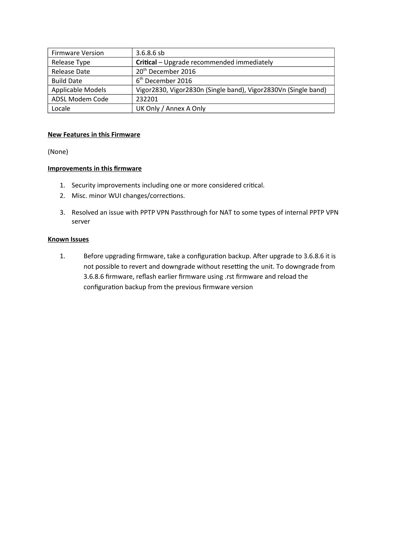| <b>Firmware Version</b> | $3.6.8.6$ sb                                                   |
|-------------------------|----------------------------------------------------------------|
| Release Type            | Critical - Upgrade recommended immediately                     |
| Release Date            | 20 <sup>th</sup> December 2016                                 |
| <b>Build Date</b>       | 6 <sup>th</sup> December 2016                                  |
| Applicable Models       | Vigor2830, Vigor2830n (Single band), Vigor2830Vn (Single band) |
| ADSL Modem Code         | 232201                                                         |
| Locale                  | UK Only / Annex A Only                                         |

## **New Features in this Firmware**

(None)

# **Improvements in this frmware**

- 1. Security improvements including one or more considered critical.
- 2. Misc. minor WUI changes/corrections.
- 3. Resolved an issue with PPTP VPN Passthrough for NAT to some types of internal PPTP VPN server

## **Known Issues**

1. Before upgrading firmware, take a configuration backup. After upgrade to 3.6.8.6 it is not possible to revert and downgrade without resetting the unit. To downgrade from 3.6.8.6 frmware, relash earlier frmware using .rst frmware and reload the configuration backup from the previous firmware version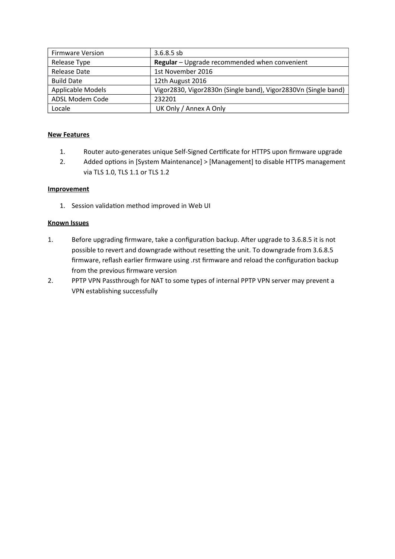| <b>Firmware Version</b> | $3.6.8.5$ sb                                                   |
|-------------------------|----------------------------------------------------------------|
| Release Type            | Regular - Upgrade recommended when convenient                  |
| Release Date            | 1st November 2016                                              |
| <b>Build Date</b>       | 12th August 2016                                               |
| Applicable Models       | Vigor2830, Vigor2830n (Single band), Vigor2830Vn (Single band) |
| ADSL Modem Code         | 232201                                                         |
| Locale                  | UK Only / Annex A Only                                         |

- 1. Router auto-generates unique Self-Signed Certificate for HTTPS upon firmware upgrade
- 2. Added options in [System Maintenance] > [Management] to disable HTTPS management via TLS 1.0, TLS 1.1 or TLS 1.2

## **Improvement**

1. Session validation method improved in Web UI

#### **Known Issues**

- 1. Before upgrading firmware, take a configuration backup. After upgrade to 3.6.8.5 it is not possible to revert and downgrade without resetting the unit. To downgrade from 3.6.8.5 firmware, reflash earlier firmware using .rst firmware and reload the configuration backup from the previous firmware version
- 2. PPTP VPN Passthrough for NAT to some types of internal PPTP VPN server may prevent a VPN establishing successfully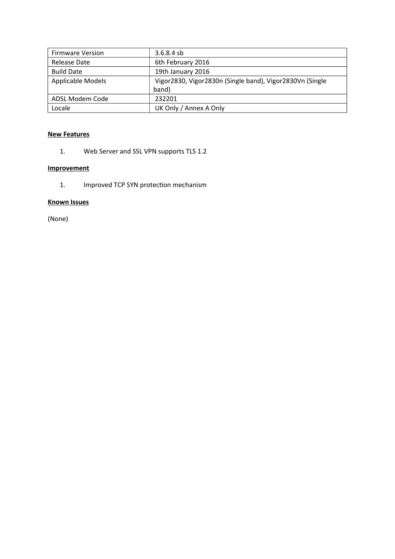| <b>Firmware Version</b> | $3.6.8.4$ sb                                             |
|-------------------------|----------------------------------------------------------|
| Release Date            | 6th February 2016                                        |
| <b>Build Date</b>       | 19th January 2016                                        |
| Applicable Models       | Vigor2830, Vigor2830n (Single band), Vigor2830Vn (Single |
|                         | band)                                                    |
| ADSL Modem Code         | 232201                                                   |
| Locale                  | UK Only / Annex A Only                                   |

1. Web Server and SSL VPN supports TLS 1.2

# **Improvement**

1. Improved TCP SYN protection mechanism

# **Known Issues**

(None)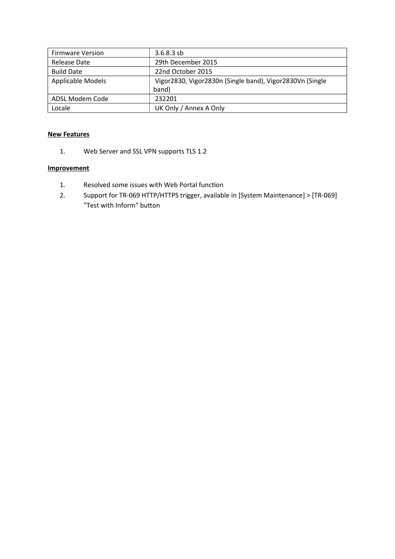| <b>Firmware Version</b>  | $3.6.8.3$ sb                                             |
|--------------------------|----------------------------------------------------------|
| Release Date             | 29th December 2015                                       |
| <b>Build Date</b>        | 22nd October 2015                                        |
| <b>Applicable Models</b> | Vigor2830, Vigor2830n (Single band), Vigor2830Vn (Single |
|                          | band)                                                    |
| ADSL Modem Code          | 232201                                                   |
| Locale                   | UK Only / Annex A Only                                   |

1. Web Server and SSL VPN supports TLS 1.2

- 1. Resolved some issues with Web Portal function
- 2. Support for TR-069 HTTP/HTTPS trigger, available in [System Maintenance] > [TR-069] "Test with Inform" button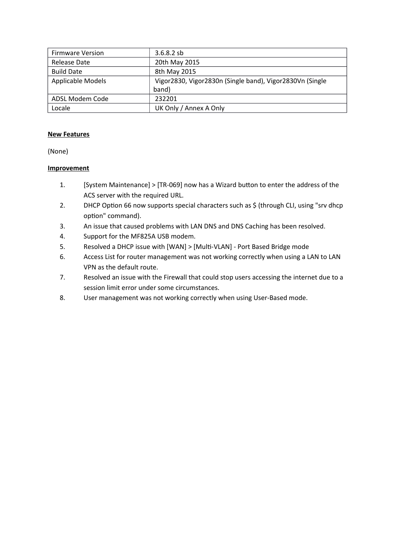| <b>Firmware Version</b>  | $3.6.8.2$ sb                                             |
|--------------------------|----------------------------------------------------------|
| Release Date             | 20th May 2015                                            |
| <b>Build Date</b>        | 8th May 2015                                             |
| <b>Applicable Models</b> | Vigor2830, Vigor2830n (Single band), Vigor2830Vn (Single |
|                          | band)                                                    |
| ADSL Modem Code          | 232201                                                   |
| Locale                   | UK Only / Annex A Only                                   |

(None)

- 1. [System Maintenance] > [TR-069] now has a Wizard button to enter the address of the ACS server with the required URL.
- 2. DHCP Option 66 now supports special characters such as \$ (through CLI, using "srv dhcp option" command).
- 3. An issue that caused problems with LAN DNS and DNS Caching has been resolved.
- 4. Support for the MF825A USB modem.
- 5. Resolved a DHCP issue with [WAN] > [Multi-VLAN] Port Based Bridge mode
- 6. Access List for router management was not working correctly when using a LAN to LAN VPN as the default route.
- 7. Resolved an issue with the Firewall that could stop users accessing the internet due to a session limit error under some circumstances.
- 8. User management was not working correctly when using User-Based mode.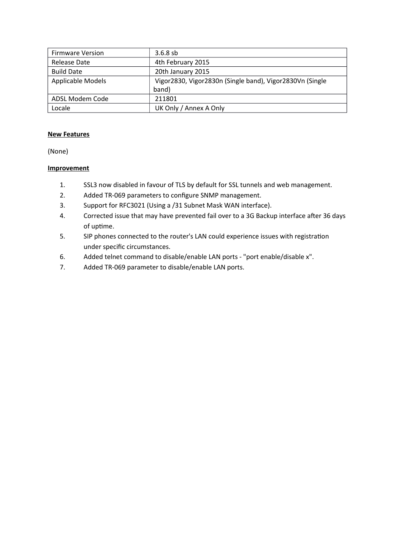| <b>Firmware Version</b> | $3.6.8$ sb                                               |
|-------------------------|----------------------------------------------------------|
| Release Date            | 4th February 2015                                        |
| <b>Build Date</b>       | 20th January 2015                                        |
| Applicable Models       | Vigor2830, Vigor2830n (Single band), Vigor2830Vn (Single |
|                         | band)                                                    |
| ADSL Modem Code         | 211801                                                   |
| Locale                  | UK Only / Annex A Only                                   |

(None)

- 1. SSL3 now disabled in favour of TLS by default for SSL tunnels and web management.
- 2. Added TR-069 parameters to configure SNMP management.
- 3. Support for RFC3021 (Using a /31 Subnet Mask WAN interface).
- 4. Corrected issue that may have prevented fail over to a 3G Backup interface after 36 days of uptime.
- 5. SIP phones connected to the router's LAN could experience issues with registration under specific circumstances.
- 6. Added telnet command to disable/enable LAN ports "port enable/disable x".
- 7. Added TR-069 parameter to disable/enable LAN ports.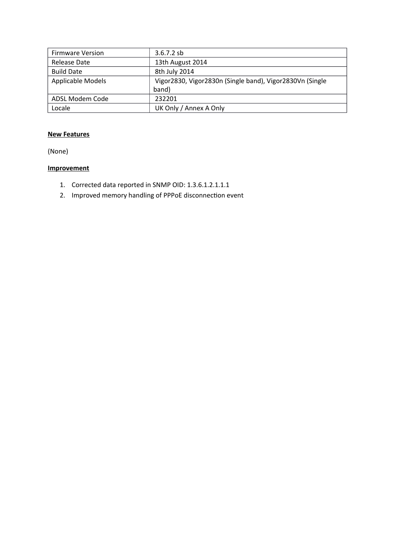| <b>Firmware Version</b> | $3.6.7.2$ sb                                             |
|-------------------------|----------------------------------------------------------|
| Release Date            | 13th August 2014                                         |
| <b>Build Date</b>       | 8th July 2014                                            |
| Applicable Models       | Vigor2830, Vigor2830n (Single band), Vigor2830Vn (Single |
|                         | band)                                                    |
| ADSL Modem Code         | 232201                                                   |
| Locale                  | UK Only / Annex A Only                                   |

(None)

- 1. Corrected data reported in SNMP OID: 1.3.6.1.2.1.1.1
- 2. Improved memory handling of PPPoE disconnection event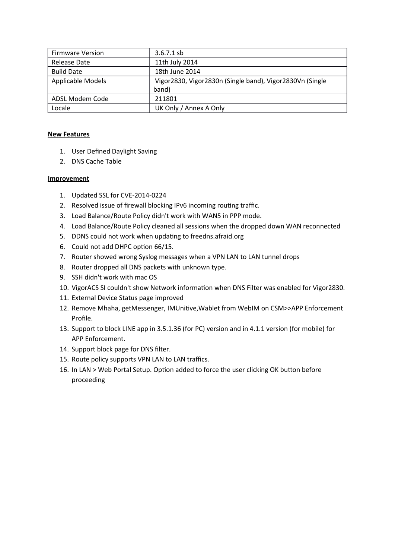| <b>Firmware Version</b>  | $3.6.7.1$ sb                                             |
|--------------------------|----------------------------------------------------------|
| Release Date             | 11th July 2014                                           |
| <b>Build Date</b>        | 18th June 2014                                           |
| <b>Applicable Models</b> | Vigor2830, Vigor2830n (Single band), Vigor2830Vn (Single |
|                          | band)                                                    |
| ADSL Modem Code          | 211801                                                   |
| Locale                   | UK Only / Annex A Only                                   |

- 1. User Defned Daylight Saving
- 2. DNS Cache Table

- 1. Updated SSL for CVE-2014-0224
- 2. Resolved issue of firewall blocking IPv6 incoming routing traffic.
- 3. Load Balance/Route Policy didn't work with WAN5 in PPP mode.
- 4. Load Balance/Route Policy cleaned all sessions when the dropped down WAN reconnected
- 5. DDNS could not work when updating to freedns.afraid.org
- 6. Could not add DHPC option 66/15.
- 7. Router showed wrong Syslog messages when a VPN LAN to LAN tunnel drops
- 8. Router dropped all DNS packets with unknown type.
- 9. SSH didn't work with mac OS
- 10. VigorACS SI couldn't show Network information when DNS Filter was enabled for Vigor2830.
- 11. External Device Status page improved
- 12. Remove Mhaha, getMessenger, IMUnitive, Wablet from WebIM on CSM>>APP Enforcement Profle.
- 13. Support to block LINE app in 3.5.1.36 (for PC) version and in 4.1.1 version (for mobile) for APP Enforcement.
- 14. Support block page for DNS flter.
- 15. Route policy supports VPN LAN to LAN traffics.
- 16. In LAN > Web Portal Setup. Option added to force the user clicking OK button before proceeding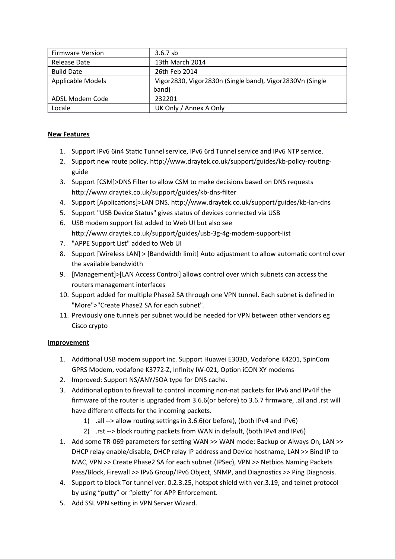| <b>Firmware Version</b> | $3.6.7$ sb                                               |
|-------------------------|----------------------------------------------------------|
| Release Date            | 13th March 2014                                          |
| <b>Build Date</b>       | 26th Feb 2014                                            |
| Applicable Models       | Vigor2830, Vigor2830n (Single band), Vigor2830Vn (Single |
|                         | band)                                                    |
| ADSL Modem Code         | 232201                                                   |
| Locale                  | UK Only / Annex A Only                                   |

- 1. Support IPv6 6in4 Static Tunnel service, IPv6 6rd Tunnel service and IPv6 NTP service.
- 2. Support new route policy. http://www.draytek.co.uk/support/guides/kb-policy-routingguide
- 3. Support [CSM]>DNS Filter to allow CSM to make decisions based on DNS requests http://www.draytek.co.uk/support/guides/kb-dns-flter
- 4. Support [Applications]>LAN DNS. http://www.draytek.co.uk/support/guides/kb-lan-dns
- 5. Support "USB Device Status" gives status of devices connected via USB
- 6. USB modem support list added to Web UI but also see http://www.draytek.co.uk/support/guides/usb-3g-4g-modem-support-list
- 7. "APPE Support List" added to Web UI
- 8. Support [Wireless LAN] > [Bandwidth limit] Auto adjustment to allow automatic control over the available bandwidth
- 9. [Management]>[LAN Access Control] allows control over which subnets can access the routers management interfaces
- 10. Support added for multiple Phase2 SA through one VPN tunnel. Each subnet is defined in "More">"Create Phase2 SA for each subnet".
- 11. Previously one tunnels per subnet would be needed for VPN between other vendors eg Cisco crypto

- 1. Additional USB modem support inc. Support Huawei E303D, Vodafone K4201, SpinCom GPRS Modem, vodafone K3772-Z, Infinity IW-021, Option iCON XY modems
- 2. Improved: Support NS/ANY/SOA type for DNS cache.
- 3. Additional option to firewall to control incoming non-nat packets for IPv6 and IPv4If the frmware of the router is upgraded from 3.6.6(or before) to 3.6.7 frmware, .all and .rst will have different effects for the incoming packets.
	- 1) .all --> allow routing settings in 3.6.6(or before), (both IPv4 and IPv6)
	- 2) .rst --> block routing packets from WAN in default, (both IPv4 and IPv6)
- 1. Add some TR-069 parameters for setting WAN >> WAN mode: Backup or Always On, LAN >> DHCP relay enable/disable, DHCP relay IP address and Device hostname, LAN >> Bind IP to MAC, VPN >> Create Phase2 SA for each subnet.(IPSec), VPN >> Netbios Naming Packets Pass/Block, Firewall >> IPv6 Group/IPv6 Object, SNMP, and Diagnostics >> Ping Diagnosis.
- 4. Support to block Tor tunnel ver. 0.2.3.25, hotspot shield with ver.3.19, and telnet protocol by using "putty" or "pietty" for APP Enforcement.
- 5. Add SSL VPN setting in VPN Server Wizard.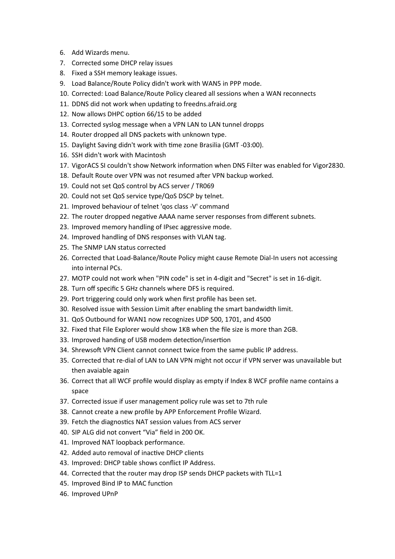- 6. Add Wizards menu.
- 7. Corrected some DHCP relay issues
- 8. Fixed a SSH memory leakage issues.
- 9. Load Balance/Route Policy didn't work with WAN5 in PPP mode.
- 10. Corrected: Load Balance/Route Policy cleared all sessions when a WAN reconnects
- 11. DDNS did not work when updating to freedns.afraid.org
- 12. Now allows DHPC option 66/15 to be added
- 13. Corrected syslog message when a VPN LAN to LAN tunnel dropps
- 14. Router dropped all DNS packets with unknown type.
- 15. Daylight Saving didn't work with time zone Brasilia (GMT -03:00).
- 16. SSH didn't work with Macintosh
- 17. VigorACS SI couldn't show Network information when DNS Filter was enabled for Vigor2830.
- 18. Default Route over VPN was not resumed afer VPN backup worked.
- 19. Could not set QoS control by ACS server / TR069
- 20. Could not set QoS service type/QoS DSCP by telnet.
- 21. Improved behaviour of telnet 'qos class -V' command
- 22. The router dropped negative AAAA name server responses from different subnets.
- 23. Improved memory handling of IPsec aggressive mode.
- 24. Improved handling of DNS responses with VLAN tag.
- 25. The SNMP LAN status corrected
- 26. Corrected that Load-Balance/Route Policy might cause Remote Dial-In users not accessing into internal PCs.
- 27. MOTP could not work when "PIN code" is set in 4-digit and "Secret" is set in 16-digit.
- 28. Turn off specific 5 GHz channels where DFS is required.
- 29. Port triggering could only work when frst profle has been set.
- 30. Resolved issue with Session Limit afer enabling the smart bandwidth limit.
- 31. QoS Outbound for WAN1 now recognizes UDP 500, 1701, and 4500
- 32. Fixed that File Explorer would show 1KB when the fle size is more than 2GB.
- 33. Improved handing of USB modem detection/insertion
- 34. Shrewsoft VPN Client cannot connect twice from the same public IP address.
- 35. Corrected that re-dial of LAN to LAN VPN might not occur if VPN server was unavailable but then avaiable again
- 36. Correct that all WCF profle would display as empty if Index 8 WCF profle name contains a space
- 37. Corrected issue if user management policy rule was set to 7th rule
- 38. Cannot create a new profle by APP Enforcement Profle Wizard.
- 39. Fetch the diagnostics NAT session values from ACS server
- 40. SIP ALG did not convert "Via" field in 200 OK.
- 41. Improved NAT loopback performance.
- 42. Added auto removal of inactive DHCP clients
- 43. Improved: DHCP table shows conflict IP Address.
- 44. Corrected that the router may drop ISP sends DHCP packets with TLL=1
- 45. Improved Bind IP to MAC function
- 46. Improved UPnP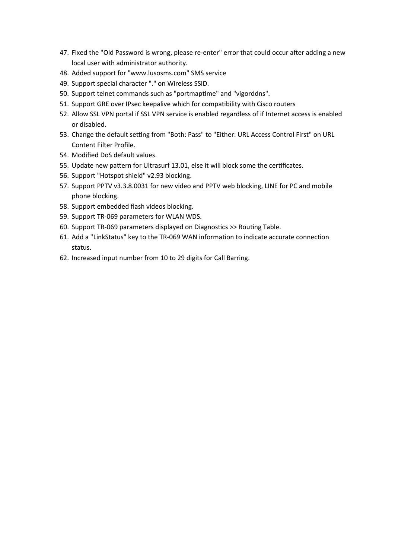- 47. Fixed the "Old Password is wrong, please re-enter" error that could occur after adding a new local user with administrator authority.
- 48. Added support for "www.lusosms.com" SMS service
- 49. Support special character "." on Wireless SSID.
- 50. Support telnet commands such as "portmaptime" and "vigorddns".
- 51. Support GRE over IPsec keepalive which for compatibility with Cisco routers
- 52. Allow SSL VPN portal if SSL VPN service is enabled regardless of if Internet access is enabled or disabled.
- 53. Change the default setting from "Both: Pass" to "Either: URL Access Control First" on URL Content Filter Profle.
- 54. Modifed DoS default values.
- 55. Update new pattern for Ultrasurf 13.01, else it will block some the certificates.
- 56. Support "Hotspot shield" v2.93 blocking.
- 57. Support PPTV v3.3.8.0031 for new video and PPTV web blocking, LINE for PC and mobile phone blocking.
- 58. Support embedded flash videos blocking.
- 59. Support TR-069 parameters for WLAN WDS.
- 60. Support TR-069 parameters displayed on Diagnostics >> Routing Table.
- 61. Add a "LinkStatus" key to the TR-069 WAN information to indicate accurate connection status.
- 62. Increased input number from 10 to 29 digits for Call Barring.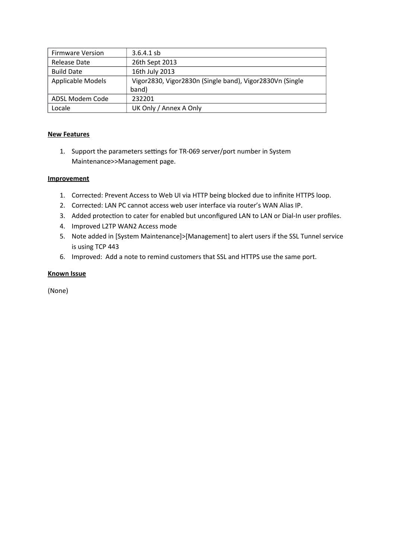| <b>Firmware Version</b>  | $3.6.4.1$ sb                                             |
|--------------------------|----------------------------------------------------------|
| Release Date             | 26th Sept 2013                                           |
| <b>Build Date</b>        | 16th July 2013                                           |
| <b>Applicable Models</b> | Vigor2830, Vigor2830n (Single band), Vigor2830Vn (Single |
|                          | band)                                                    |
| ADSL Modem Code          | 232201                                                   |
| Locale                   | UK Only / Annex A Only                                   |

1. Support the parameters settings for TR-069 server/port number in System Maintenance>>Management page.

## **Improvement**

- 1. Corrected: Prevent Access to Web UI via HTTP being blocked due to infnite HTTPS loop.
- 2. Corrected: LAN PC cannot access web user interface via router's WAN Alias IP.
- 3. Added protection to cater for enabled but unconfigured LAN to LAN or Dial-In user profiles.
- 4. Improved L2TP WAN2 Access mode
- 5. Note added in [System Maintenance]>[Management] to alert users if the SSL Tunnel service is using TCP 443
- 6. Improved: Add a note to remind customers that SSL and HTTPS use the same port.

## **Known Issue**

(None)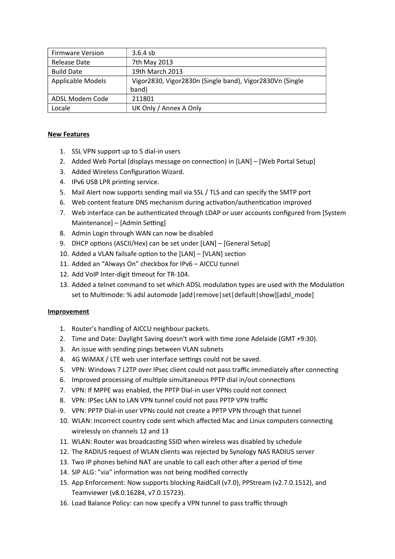| <b>Firmware Version</b>  | $3.6.4$ sb                                               |
|--------------------------|----------------------------------------------------------|
| Release Date             | 7th May 2013                                             |
| <b>Build Date</b>        | 19th March 2013                                          |
| <b>Applicable Models</b> | Vigor2830, Vigor2830n (Single band), Vigor2830Vn (Single |
|                          | band)                                                    |
| ADSL Modem Code          | 211801                                                   |
| Locale                   | UK Only / Annex A Only                                   |

- 1. SSL VPN support up to 5 dial-in users
- 2. Added Web Portal (displays message on connection) in [LAN] [Web Portal Setup]
- 3. Added Wireless Configuration Wizard.
- 4. IPv6 USB LPR printing service.
- 5. Mail Alert now supports sending mail via SSL / TLS and can specify the SMTP port
- 6. Web content feature DNS mechanism during activation/authentication improved
- 7. Web interface can be authenticated through LDAP or user accounts configured from [System] Maintenance] – [Admin Setting]
- 8. Admin Login through WAN can now be disabled
- 9. DHCP options (ASCII/Hex) can be set under [LAN] [General Setup]
- 10. Added a VLAN failsafe option to the  $[LAN] [VLAN]$  section
- 11. Added an "Always On" checkbox for IPv6 AICCU tunnel
- 12. Add VoIP Inter-digit timeout for TR-104.
- 13. Added a telnet command to set which ADSL modulation types are used with the Modulation set to Multimode: % adsl automode [add|remove|set|default|show][adsl\_mode]

- 1. Router's handling of AICCU neighbour packets.
- 2. Time and Date: Daylight Saving doesn't work with time zone Adelaide (GMT +9:30).
- 3. An issue with sending pings between VLAN subnets
- 4. 4G WiMAX / LTE web user interface settings could not be saved.
- 5. VPN: Windows 7 L2TP over IPsec client could not pass traffic immediately after connecting
- 6. Improved processing of multiple simultaneous PPTP dial in/out connections
- 7. VPN: If MPPE was enabled, the PPTP Dial-in user VPNs could not connect
- 8. VPN: IPSec LAN to LAN VPN tunnel could not pass PPTP VPN traffic
- 9. VPN: PPTP Dial-in user VPNs could not create a PPTP VPN through that tunnel
- 10. WLAN: Incorrect country code sent which affected Mac and Linux computers connecting wirelessly on channels 12 and 13
- 11. WLAN: Router was broadcasting SSID when wireless was disabled by schedule
- 12. The RADIUS request of WLAN clients was rejected by Synology NAS RADIUS server
- 13. Two IP phones behind NAT are unable to call each other after a period of time
- 14. SIP ALG: "via" information was not being modified correctly
- 15. App Enforcement: Now supports blocking RaidCall (v7.0), PPStream (v2.7.0.1512), and Teamviewer (v8.0.16284, v7.0.15723).
- 16. Load Balance Policy: can now specify a VPN tunnel to pass traffic through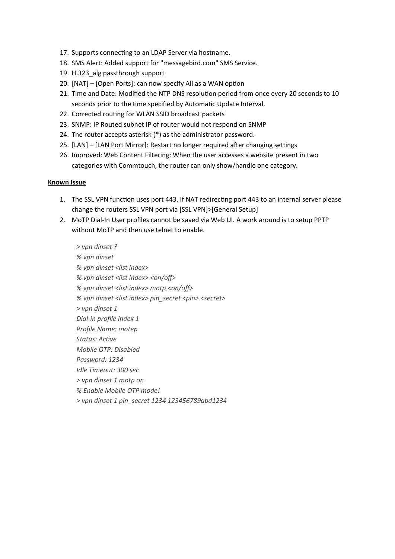- 17. Supports connecting to an LDAP Server via hostname.
- 18. SMS Alert: Added support for "messagebird.com" SMS Service.
- 19. H.323\_alg passthrough support
- 20.  $[NAT]$   $[Open Ports]$ : can now specify All as a WAN option
- 21. Time and Date: Modified the NTP DNS resolution period from once every 20 seconds to 10 seconds prior to the time specified by Automatic Update Interval.
- 22. Corrected routing for WLAN SSID broadcast packets
- 23. SNMP: IP Routed subnet IP of router would not respond on SNMP
- 24. The router accepts asterisk (\*) as the administrator password.
- 25. [LAN] [LAN Port Mirror]: Restart no longer required afer changing settings
- 26. Improved: Web Content Filtering: When the user accesses a website present in two categories with Commtouch, the router can only show/handle one category.

#### **Known Issue**

- 1. The SSL VPN function uses port 443. If NAT redirecting port 443 to an internal server please change the routers SSL VPN port via [SSL VPN]>[General Setup]
- 2. MoTP Dial-In User profles cannot be saved via Web UI. A work around is to setup PPTP without MoTP and then use telnet to enable.
	- $>$  vpn dinset ?  $%$  vpn dinset  $%$  vpn dinset <list index>  $%$  vpn dinset <list index> <on/off> *% uvmn uduinset u<list uinduex> umotm u<on/of> % uvmn uduinset u<list uinduex> umin\_secret u<min> u<secret>*  $>$  vpn dinset 1 *Dial-in profile index 1 Profile Name: motep Status: Active Mobile OTP: Disabled* **Password: 1234** *Idle Timeout: 300 sec > uvmn uduinset u1 umotm uon*  $%$  Enable Mobile OTP mode! *> uvmn uduinset u1 umin\_secret u1234 u123456789abdu1234*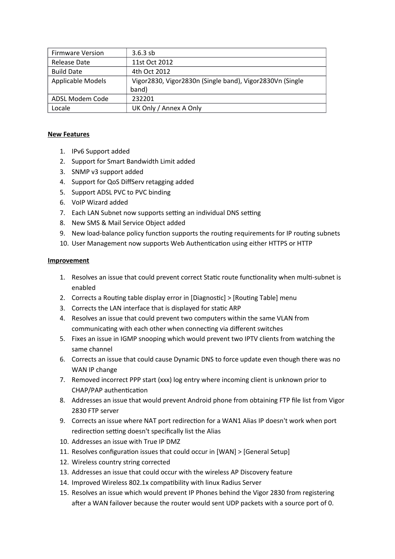| <b>Firmware Version</b>  | $3.6.3$ sb                                               |
|--------------------------|----------------------------------------------------------|
| Release Date             | 11st Oct 2012                                            |
| <b>Build Date</b>        | 4th Oct 2012                                             |
| <b>Applicable Models</b> | Vigor2830, Vigor2830n (Single band), Vigor2830Vn (Single |
|                          | band)                                                    |
| ADSL Modem Code          | 232201                                                   |
| Locale                   | UK Only / Annex A Only                                   |

- 1. IPv6 Support added
- 2. Support for Smart Bandwidth Limit added
- 3. SNMP v3 support added
- 4. Support for QoS DifServ retagging added
- 5. Support ADSL PVC to PVC binding
- 6. VoIP Wizard added
- 7. Each LAN Subnet now supports setting an individual DNS setting
- 8. New SMS & Mail Service Object added
- 9. New load-balance policy function supports the routing requirements for IP routing subnets
- 10. User Management now supports Web Authentication using either HTTPS or HTTP

- 1. Resolves an issue that could prevent correct Static route functionality when multi-subnet is enabled
- 2. Corrects a Routing table display error in [Diagnostic] > [Routing Table] menu
- 3. Corrects the LAN interface that is displayed for static ARP
- 4. Resolves an issue that could prevent two computers within the same VLAN from communicating with each other when connecting via different switches
- 5. Fixes an issue in IGMP snooping which would prevent two IPTV clients from watching the same channel
- 6. Corrects an issue that could cause Dynamic DNS to force update even though there was no WAN IP change
- 7. Removed incorrect PPP start (xxx) log entry where incoming client is unknown prior to CHAP/PAP authentication
- 8. Addresses an issue that would prevent Android phone from obtaining FTP fle list from Vigor 2830 FTP server
- 9. Corrects an issue where NAT port redirection for a WAN1 Alias IP doesn't work when port redirection setting doesn't specifically list the Alias
- 10. Addresses an issue with True IP DMZ
- 11. Resolves configuration issues that could occur in  $[WAN]$  >  $[General Setup]$
- 12. Wireless country string corrected
- 13. Addresses an issue that could occur with the wireless AP Discovery feature
- 14. Improved Wireless 802.1x compatibility with linux Radius Server
- 15. Resolves an issue which would prevent IP Phones behind the Vigor 2830 from registering afer a WAN failover because the router would sent UDP packets with a source port of 0.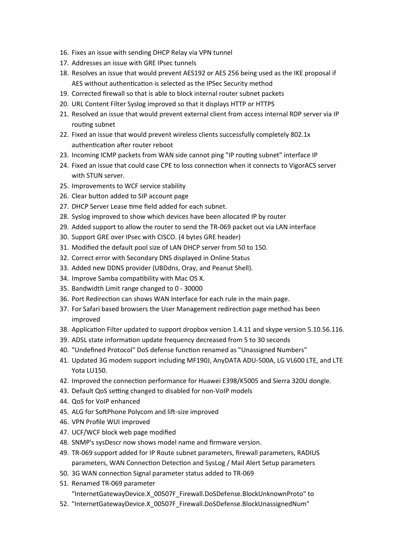- 16. Fixes an issue with sending DHCP Relay via VPN tunnel
- 17. Addresses an issue with GRE IPsec tunnels
- 18. Resolves an issue that would prevent AES192 or AES 256 being used as the IKE proposal if AES without authentication is selected as the IPSec Security method
- 19. Corrected frewall so that is able to block internal router subnet packets
- 20. URL Content Filter Syslog improved so that it displays HTTP or HTTPS
- 21. Resolved an issue that would prevent external client from access internal RDP server via IP routing subnet
- 22. Fixed an issue that would prevent wireless clients successfully completely 802.1x authentication after router reboot
- 23. Incoming ICMP packets from WAN side cannot ping "IP routing subnet" interface IP
- 24. Fixed an issue that could case CPE to loss connection when it connects to VigorACS server with STUN server.
- 25. Improvements to WCF service stability
- 26. Clear button added to SIP account page
- 27. DHCP Server Lease time field added for each subnet.
- 28. Syslog improved to show which devices have been allocated IP by router
- 29. Added support to allow the router to send the TR-069 packet out via LAN interface
- 30. Support GRE over IPsec with CISCO. (4 bytes GRE header)
- 31. Modifed the default pool size of LAN DHCP server from 50 to 150.
- 32. Correct error with Secondary DNS displayed in Online Status
- 33. Added new DDNS provider (UBDdns, Oray, and Peanut Shell).
- 34. Improve Samba compatibility with Mac OS X.
- 35. Bandwidth Limit range changed to 0 30000
- 36. Port Redirection can shows WAN Interface for each rule in the main page.
- 37. For Safari based browsers the User Management redirection page method has been improved
- 38. Application Filter updated to support dropbox version 1.4.11 and skype version 5.10.56.116.
- 39. ADSL state information update frequency decreased from 5 to 30 seconds
- 40. "Undefined Protocol" DoS defense function renamed as "Unassigned Numbers"
- 41. Updated 3G modem support including MF190J, AnyDATA ADU-500A, LG VL600 LTE, and LTE Yota LU150.
- 42. Improved the connection performance for Huawei E398/K5005 and Sierra 320U dongle.
- 43. Default QoS setting changed to disabled for non-VoIP models
- 44. QoS for VoIP enhanced
- 45. ALG for SoftPhone Polycom and lift-size improved
- 46. VPN Profle WUI improved
- 47. UCF/WCF block web page modifed
- 48. SNMP's sysDescr now shows model name and frmware version.
- 49. TR-069 support added for IP Route subnet parameters, frewall parameters, RADIUS parameters, WAN Connection Detection and SysLog / Mail Alert Setup parameters
- 50. 3G WAN connection Signal parameter status added to TR-069
- 51. Renamed TR-069 parameter
	- "InternetGatewayDevice.X\_00507F\_Firewall.DoSDefense.BlockUnknownProto" to
- 52. "InternetGatewayDevice.X\_00507F\_Firewall.DoSDefense.BlockUnassignedNum"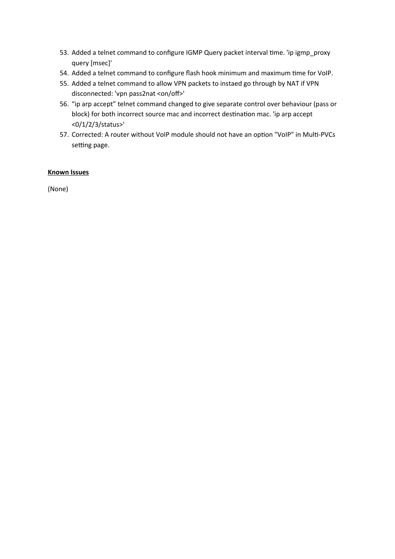- 53. Added a telnet command to configure IGMP Query packet interval time. 'ip igmp\_proxy query [msec]'
- 54. Added a telnet command to configure flash hook minimum and maximum time for VoIP.
- 55. Added a telnet command to allow VPN packets to instaed go through by NAT if VPN disconnected: 'vpn pass2nat <on/off>'
- 56. "ip arp accept" telnet command changed to give separate control over behaviour (pass or block) for both incorrect source mac and incorrect destination mac. 'ip arp accept <0/1/2/3/status>'
- 57. Corrected: A router without VoIP module should not have an option "VoIP" in Multi-PVCs setting page.

# **Known Issues**

(None)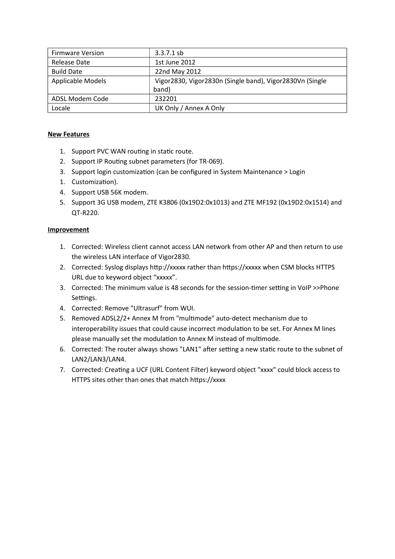| <b>Firmware Version</b> | $3.3.7.1$ sb                                             |
|-------------------------|----------------------------------------------------------|
| Release Date            | 1st June 2012                                            |
| <b>Build Date</b>       | 22nd May 2012                                            |
| Applicable Models       | Vigor2830, Vigor2830n (Single band), Vigor2830Vn (Single |
|                         | band)                                                    |
| ADSL Modem Code         | 232201                                                   |
| Locale                  | UK Only / Annex A Only                                   |

- 1. Support PVC WAN routing in static route.
- 2. Support IP Routing subnet parameters (for TR-069).
- 3. Support login customization (can be configured in System Maintenance > Login
- 1. Customization).
- 4. Support USB 56K modem.
- 5. Support 3G USB modem, ZTE K3806 (0x19D2:0x1013) and ZTE MF192 (0x19D2:0x1514) and QT-R220.

- 1. Corrected: Wireless client cannot access LAN network from other AP and then return to use the wireless LAN interface of Vigor2830.
- 2. Corrected: Syslog displays http://xxxxx rather than https://xxxxx when CSM blocks HTTPS URL due to keyword object "xxxxx".
- 3. Corrected: The minimum value is 48 seconds for the session-timer setting in VoIP >>Phone Settings.
- 4. Corrected: Remove "Ultrasurf" from WUI.
- 5. Removed ADSL2/2+ Annex M from "multimode" auto-detect mechanism due to interoperability issues that could cause incorrect modulation to be set. For Annex M lines please manually set the modulation to Annex M instead of multimode.
- 6. Corrected: The router always shows "LAN1" after setting a new static route to the subnet of LAN2/LAN3/LAN4.
- 7. Corrected: Creating a UCF (URL Content Filter) keyword object "xxxx" could block access to HTTPS sites other than ones that match https://xxxx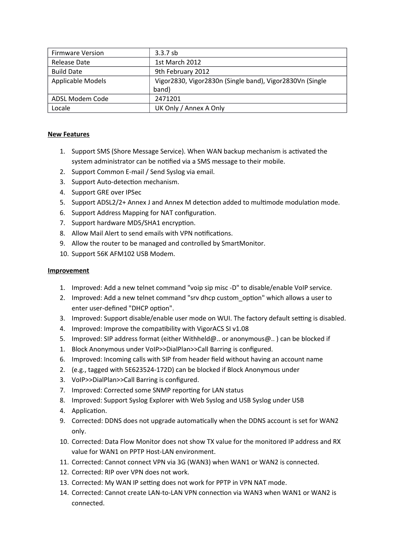| <b>Firmware Version</b>  | $3.3.7$ sb                                               |
|--------------------------|----------------------------------------------------------|
| Release Date             | 1st March 2012                                           |
| <b>Build Date</b>        | 9th February 2012                                        |
| <b>Applicable Models</b> | Vigor2830, Vigor2830n (Single band), Vigor2830Vn (Single |
|                          | band)                                                    |
| ADSL Modem Code          | 2471201                                                  |
| Locale                   | UK Only / Annex A Only                                   |

- 1. Support SMS (Shore Message Service). When WAN backup mechanism is activated the system administrator can be notified via a SMS message to their mobile.
- 2. Support Common E-mail / Send Syslog via email.
- 3. Support Auto-detection mechanism.
- 4. Support GRE over IPSec
- 5. Support ADSL2/2+ Annex J and Annex M detection added to multimode modulation mode.
- 6. Support Address Mapping for NAT configuration.
- 7. Support hardware MD5/SHA1 encryption.
- 8. Allow Mail Alert to send emails with VPN notifications.
- 9. Allow the router to be managed and controlled by SmartMonitor.
- 10. Support 56K AFM102 USB Modem.

- 1. Improved: Add a new telnet command "voip sip misc -D" to disable/enable VoIP service.
- 2. Improved: Add a new telnet command "srv dhcp custom option" which allows a user to enter user-defined "DHCP option".
- 3. Improved: Support disable/enable user mode on WUI. The factory default setting is disabled.
- 4. Improved: Improve the compatibility with VigorACS SI v1.08
- 5. Improved: SIP address format (either Withheld@.. or anonymous@.. ) can be blocked if
- 1. Block Anonymous under VoIP>>DialPlan>>Call Barring is confgured.
- 6. Improved: Incoming calls with SIP from header feld without having an account name
- 2. (e.g., tagged with 5E623524-172D) can be blocked if Block Anonymous under
- 3. VoIP>>DialPlan>>Call Barring is confgured.
- 7. Improved: Corrected some SNMP reporting for LAN status
- 8. Improved: Support Syslog Explorer with Web Syslog and USB Syslog under USB
- 4. Application.
- 9. Corrected: DDNS does not upgrade automatically when the DDNS account is set for WAN2 only.
- 10. Corrected: Data Flow Monitor does not show TX value for the monitored IP address and RX value for WAN1 on PPTP Host-LAN environment.
- 11. Corrected: Cannot connect VPN via 3G (WAN3) when WAN1 or WAN2 is connected.
- 12. Corrected: RIP over VPN does not work.
- 13. Corrected: My WAN IP setting does not work for PPTP in VPN NAT mode.
- 14. Corrected: Cannot create LAN-to-LAN VPN connection via WAN3 when WAN1 or WAN2 is connected.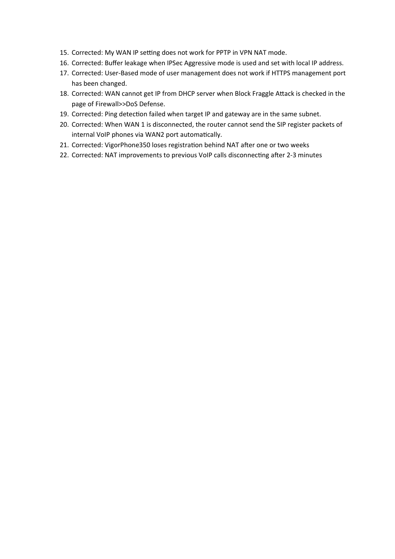- 15. Corrected: My WAN IP setting does not work for PPTP in VPN NAT mode.
- 16. Corrected: Buffer leakage when IPSec Aggressive mode is used and set with local IP address.
- 17. Corrected: User-Based mode of user management does not work if HTTPS management port has been changed.
- 18. Corrected: WAN cannot get IP from DHCP server when Block Fraggle Attack is checked in the page of Firewall>>DoS Defense.
- 19. Corrected: Ping detection failed when target IP and gateway are in the same subnet.
- 20. Corrected: When WAN 1 is disconnected, the router cannot send the SIP register packets of internal VoIP phones via WAN2 port automatically.
- 21. Corrected: VigorPhone350 loses registration behind NAT after one or two weeks
- 22. Corrected: NAT improvements to previous VoIP calls disconnecting after 2-3 minutes